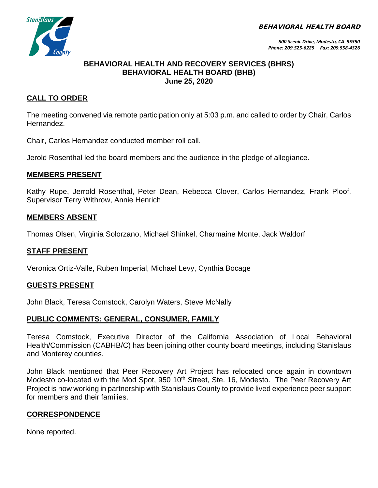BEHAVIORAL HEALTH BOARD



## **BEHAVIORAL HEALTH AND RECOVERY SERVICES (BHRS) BEHAVIORAL HEALTH BOARD (BHB) June 25, 2020**

# **CALL TO ORDER**

The meeting convened via remote participation only at 5:03 p.m. and called to order by Chair, Carlos Hernandez.

Chair, Carlos Hernandez conducted member roll call.

Jerold Rosenthal led the board members and the audience in the pledge of allegiance.

## **MEMBERS PRESENT**

Kathy Rupe, Jerrold Rosenthal, Peter Dean, Rebecca Clover, Carlos Hernandez, Frank Ploof, Supervisor Terry Withrow, Annie Henrich

## **MEMBERS ABSENT**

Thomas Olsen, Virginia Solorzano, Michael Shinkel, Charmaine Monte, Jack Waldorf

# **STAFF PRESENT**

Veronica Ortiz-Valle, Ruben Imperial, Michael Levy, Cynthia Bocage

#### **GUESTS PRESENT**

John Black, Teresa Comstock, Carolyn Waters, Steve McNally

# **PUBLIC COMMENTS: GENERAL, CONSUMER, FAMILY**

Teresa Comstock, Executive Director of the California Association of Local Behavioral Health/Commission (CABHB/C) has been joining other county board meetings, including Stanislaus and Monterey counties.

John Black mentioned that Peer Recovery Art Project has relocated once again in downtown Modesto co-located with the Mod Spot, 950 10<sup>th</sup> Street, Ste. 16, Modesto. The Peer Recovery Art Project is now working in partnership with Stanislaus County to provide lived experience peer support for members and their families.

# **CORRESPONDENCE**

None reported.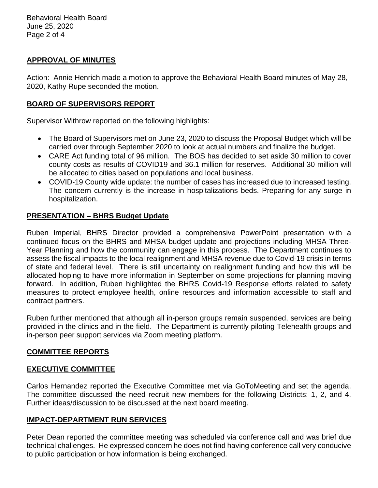# **APPROVAL OF MINUTES**

Action: Annie Henrich made a motion to approve the Behavioral Health Board minutes of May 28, 2020, Kathy Rupe seconded the motion.

## **BOARD OF SUPERVISORS REPORT**

Supervisor Withrow reported on the following highlights:

- The Board of Supervisors met on June 23, 2020 to discuss the Proposal Budget which will be carried over through September 2020 to look at actual numbers and finalize the budget.
- CARE Act funding total of 96 million. The BOS has decided to set aside 30 million to cover county costs as results of COVID19 and 36.1 million for reserves. Additional 30 million will be allocated to cities based on populations and local business.
- COVID-19 County wide update: the number of cases has increased due to increased testing. The concern currently is the increase in hospitalizations beds. Preparing for any surge in hospitalization.

## **PRESENTATION – BHRS Budget Update**

Ruben Imperial, BHRS Director provided a comprehensive PowerPoint presentation with a continued focus on the BHRS and MHSA budget update and projections including MHSA Three-Year Planning and how the community can engage in this process. The Department continues to assess the fiscal impacts to the local realignment and MHSA revenue due to Covid-19 crisis in terms of state and federal level. There is still uncertainty on realignment funding and how this will be allocated hoping to have more information in September on some projections for planning moving forward. In addition, Ruben highlighted the BHRS Covid-19 Response efforts related to safety measures to protect employee health, online resources and information accessible to staff and contract partners.

Ruben further mentioned that although all in-person groups remain suspended, services are being provided in the clinics and in the field. The Department is currently piloting Telehealth groups and in-person peer support services via Zoom meeting platform.

#### **COMMITTEE REPORTS**

#### **EXECUTIVE COMMITTEE**

Carlos Hernandez reported the Executive Committee met via GoToMeeting and set the agenda. The committee discussed the need recruit new members for the following Districts: 1, 2, and 4. Further ideas/discussion to be discussed at the next board meeting.

#### **IMPACT-DEPARTMENT RUN SERVICES**

Peter Dean reported the committee meeting was scheduled via conference call and was brief due technical challenges. He expressed concern he does not find having conference call very conducive to public participation or how information is being exchanged.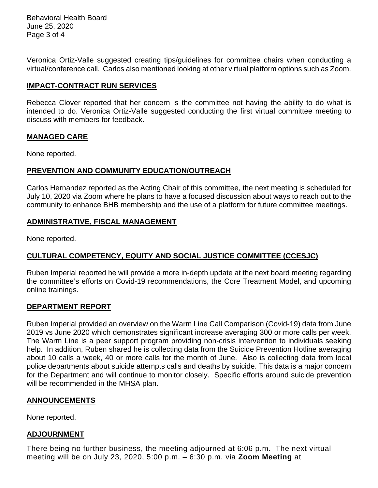Behavioral Health Board June 25, 2020 Page 3 of 4

Veronica Ortiz-Valle suggested creating tips/guidelines for committee chairs when conducting a virtual/conference call. Carlos also mentioned looking at other virtual platform options such as Zoom.

## **IMPACT-CONTRACT RUN SERVICES**

Rebecca Clover reported that her concern is the committee not having the ability to do what is intended to do. Veronica Ortiz-Valle suggested conducting the first virtual committee meeting to discuss with members for feedback.

#### **MANAGED CARE**

None reported.

## **PREVENTION AND COMMUNITY EDUCATION/OUTREACH**

Carlos Hernandez reported as the Acting Chair of this committee, the next meeting is scheduled for July 10, 2020 via Zoom where he plans to have a focused discussion about ways to reach out to the community to enhance BHB membership and the use of a platform for future committee meetings.

# **ADMINISTRATIVE, FISCAL MANAGEMENT**

None reported.

# **CULTURAL COMPETENCY, EQUITY AND SOCIAL JUSTICE COMMITTEE (CCESJC)**

Ruben Imperial reported he will provide a more in-depth update at the next board meeting regarding the committee's efforts on Covid-19 recommendations, the Core Treatment Model, and upcoming online trainings.

# **DEPARTMENT REPORT**

Ruben Imperial provided an overview on the Warm Line Call Comparison (Covid-19) data from June 2019 vs June 2020 which demonstrates significant increase averaging 300 or more calls per week. The Warm Line is a peer support program providing non-crisis intervention to individuals seeking help. In addition, Ruben shared he is collecting data from the Suicide Prevention Hotline averaging about 10 calls a week, 40 or more calls for the month of June. Also is collecting data from local police departments about suicide attempts calls and deaths by suicide. This data is a major concern for the Department and will continue to monitor closely. Specific efforts around suicide prevention will be recommended in the MHSA plan.

#### **ANNOUNCEMENTS**

None reported.

#### **ADJOURNMENT**

There being no further business, the meeting adjourned at 6:06 p.m. The next virtual meeting will be on July 23, 2020, 5:00 p.m. – 6:30 p.m. via **Zoom Meeting** at